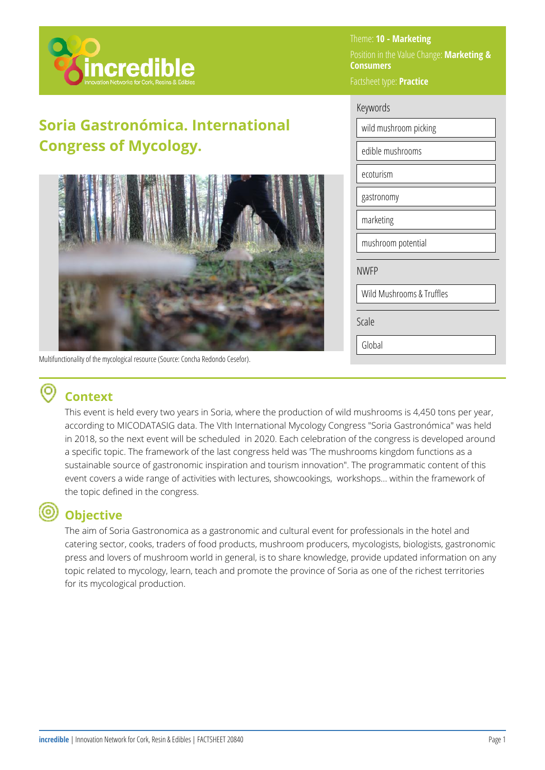

# **Soria Gastronómica. International Congress of Mycology.**



Multifunctionality of the mycological resource (Source: Concha Redondo Cesefor).

### Theme: **10 - Marketing**  Position in the Value Change: **Marketing & Consumers**  Factsheet type: **Practice**

| Keywords                  |  |  |
|---------------------------|--|--|
| wild mushroom picking     |  |  |
| edible mushrooms          |  |  |
| ecoturism                 |  |  |
| gastronomy                |  |  |
| marketing                 |  |  |
| mushroom potential        |  |  |
| <b>NWFP</b>               |  |  |
| Wild Mushrooms & Truffles |  |  |
| Scale                     |  |  |
| Global                    |  |  |

## **Context**

This event is held every two years in Soria, where the production of wild mushrooms is 4,450 tons per year, according to MICODATASIG data. The VIth International Mycology Congress "Soria Gastronómica" was held in 2018, so the next event will be scheduled in 2020. Each celebration of the congress is developed around a specific topic. The framework of the last congress held was 'The mushrooms kingdom functions as a sustainable source of gastronomic inspiration and tourism innovation". The programmatic content of this event covers a wide range of activities with lectures, showcookings, workshops... within the framework of the topic defined in the congress.

# **Objective**

The aim of Soria Gastronomica as a gastronomic and cultural event for professionals in the hotel and catering sector, cooks, traders of food products, mushroom producers, mycologists, biologists, gastronomic press and lovers of mushroom world in general, is to share knowledge, provide updated information on any topic related to mycology, learn, teach and promote the province of Soria as one of the richest territories for its mycological production.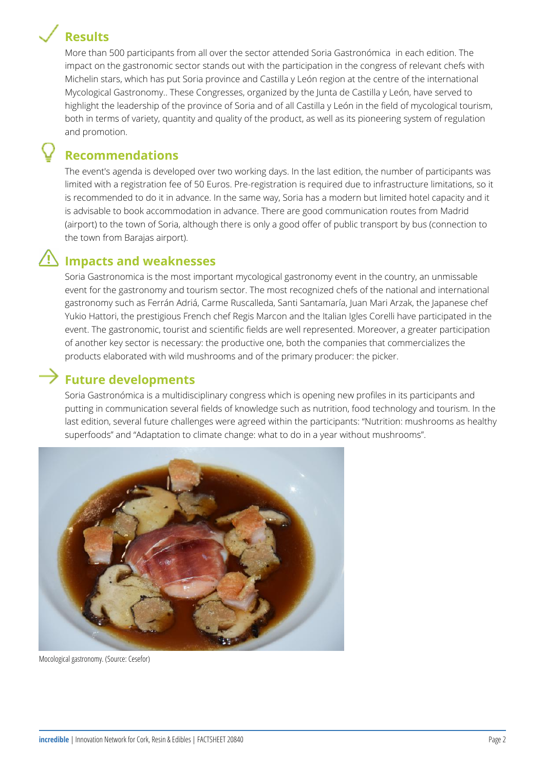# **Results**



More than 500 participants from all over the sector attended Soria Gastronómica in each edition. The impact on the gastronomic sector stands out with the participation in the congress of relevant chefs with Michelin stars, which has put Soria province and Castilla y León region at the centre of the international Mycological Gastronomy.. These Congresses, organized by the Junta de Castilla y León, have served to highlight the leadership of the province of Soria and of all Castilla y León in the field of mycological tourism, both in terms of variety, quantity and quality of the product, as well as its pioneering system of regulation and promotion.

### **Recommendations**

The event's agenda is developed over two working days. In the last edition, the number of participants was limited with a registration fee of 50 Euros. Pre-registration is required due to infrastructure limitations, so it is recommended to do it in advance. In the same way, Soria has a modern but limited hotel capacity and it is advisable to book accommodation in advance. There are good communication routes from Madrid (airport) to the town of Soria, although there is only a good offer of public transport by bus (connection to the town from Barajas airport).

### **Impacts and weaknesses**

Soria Gastronomica is the most important mycological gastronomy event in the country, an unmissable event for the gastronomy and tourism sector. The most recognized chefs of the national and international gastronomy such as Ferrán Adriá, Carme Ruscalleda, Santi Santamaría, Juan Mari Arzak, the Japanese chef Yukio Hattori, the prestigious French chef Regis Marcon and the Italian Igles Corelli have participated in the event. The gastronomic, tourist and scientific fields are well represented. Moreover, a greater participation of another key sector is necessary: the productive one, both the companies that commercializes the products elaborated with wild mushrooms and of the primary producer: the picker.

### **Future developments**

Soria Gastronómica is a multidisciplinary congress which is opening new profiles in its participants and putting in communication several fields of knowledge such as nutrition, food technology and tourism. In the last edition, several future challenges were agreed within the participants: "Nutrition: mushrooms as healthy superfoods" and "Adaptation to climate change: what to do in a year without mushrooms".



Mocological gastronomy. (Source: Cesefor)